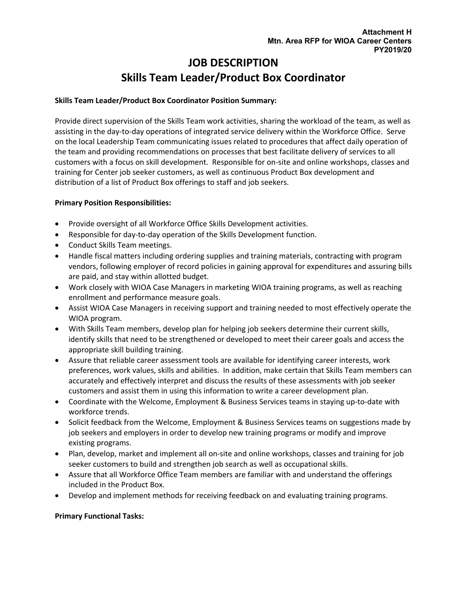# **JOB DESCRIPTION Skills Team Leader/Product Box Coordinator**

## **Skills Team Leader/Product Box Coordinator Position Summary:**

Provide direct supervision of the Skills Team work activities, sharing the workload of the team, as well as assisting in the day-to-day operations of integrated service delivery within the Workforce Office. Serve on the local Leadership Team communicating issues related to procedures that affect daily operation of the team and providing recommendations on processes that best facilitate delivery of services to all customers with a focus on skill development. Responsible for on-site and online workshops, classes and training for Center job seeker customers, as well as continuous Product Box development and distribution of a list of Product Box offerings to staff and job seekers.

### **Primary Position Responsibilities:**

- Provide oversight of all Workforce Office Skills Development activities.
- Responsible for day-to-day operation of the Skills Development function.
- Conduct Skills Team meetings.
- Handle fiscal matters including ordering supplies and training materials, contracting with program vendors, following employer of record policies in gaining approval for expenditures and assuring bills are paid, and stay within allotted budget.
- Work closely with WIOA Case Managers in marketing WIOA training programs, as well as reaching enrollment and performance measure goals.
- Assist WIOA Case Managers in receiving support and training needed to most effectively operate the WIOA program.
- With Skills Team members, develop plan for helping job seekers determine their current skills, identify skills that need to be strengthened or developed to meet their career goals and access the appropriate skill building training.
- Assure that reliable career assessment tools are available for identifying career interests, work preferences, work values, skills and abilities. In addition, make certain that Skills Team members can accurately and effectively interpret and discuss the results of these assessments with job seeker customers and assist them in using this information to write a career development plan.
- Coordinate with the Welcome, Employment & Business Services teams in staying up-to-date with workforce trends.
- Solicit feedback from the Welcome, Employment & Business Services teams on suggestions made by job seekers and employers in order to develop new training programs or modify and improve existing programs.
- Plan, develop, market and implement all on-site and online workshops, classes and training for job seeker customers to build and strengthen job search as well as occupational skills.
- Assure that all Workforce Office Team members are familiar with and understand the offerings included in the Product Box.
- Develop and implement methods for receiving feedback on and evaluating training programs.

#### **Primary Functional Tasks:**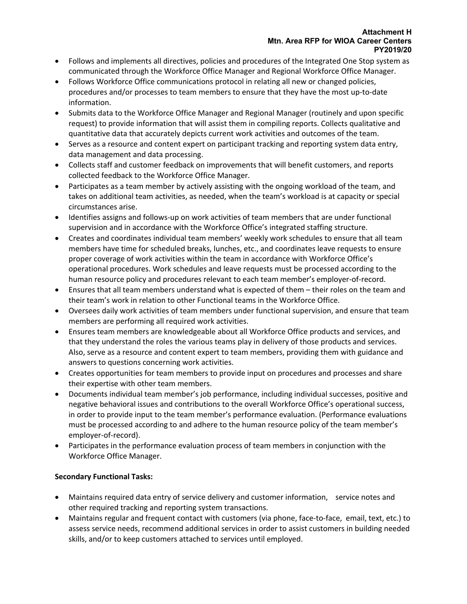- Follows and implements all directives, policies and procedures of the Integrated One Stop system as communicated through the Workforce Office Manager and Regional Workforce Office Manager.
- Follows Workforce Office communications protocol in relating all new or changed policies, procedures and/or processes to team members to ensure that they have the most up-to-date information.
- Submits data to the Workforce Office Manager and Regional Manager (routinely and upon specific request) to provide information that will assist them in compiling reports. Collects qualitative and quantitative data that accurately depicts current work activities and outcomes of the team.
- Serves as a resource and content expert on participant tracking and reporting system data entry, data management and data processing.
- Collects staff and customer feedback on improvements that will benefit customers, and reports collected feedback to the Workforce Office Manager.
- Participates as a team member by actively assisting with the ongoing workload of the team, and takes on additional team activities, as needed, when the team's workload is at capacity or special circumstances arise.
- Identifies assigns and follows-up on work activities of team members that are under functional supervision and in accordance with the Workforce Office's integrated staffing structure.
- Creates and coordinates individual team members' weekly work schedules to ensure that all team members have time for scheduled breaks, lunches, etc., and coordinates leave requests to ensure proper coverage of work activities within the team in accordance with Workforce Office's operational procedures. Work schedules and leave requests must be processed according to the human resource policy and procedures relevant to each team member's employer-of-record.
- Ensures that all team members understand what is expected of them their roles on the team and their team's work in relation to other Functional teams in the Workforce Office.
- Oversees daily work activities of team members under functional supervision, and ensure that team members are performing all required work activities.
- Ensures team members are knowledgeable about all Workforce Office products and services, and that they understand the roles the various teams play in delivery of those products and services. Also, serve as a resource and content expert to team members, providing them with guidance and answers to questions concerning work activities.
- Creates opportunities for team members to provide input on procedures and processes and share their expertise with other team members.
- Documents individual team member's job performance, including individual successes, positive and negative behavioral issues and contributions to the overall Workforce Office's operational success, in order to provide input to the team member's performance evaluation. (Performance evaluations must be processed according to and adhere to the human resource policy of the team member's employer-of-record).
- Participates in the performance evaluation process of team members in conjunction with the Workforce Office Manager.

## **Secondary Functional Tasks:**

- Maintains required data entry of service delivery and customer information, service notes and other required tracking and reporting system transactions.
- Maintains regular and frequent contact with customers (via phone, face-to-face, email, text, etc.) to assess service needs, recommend additional services in order to assist customers in building needed skills, and/or to keep customers attached to services until employed.